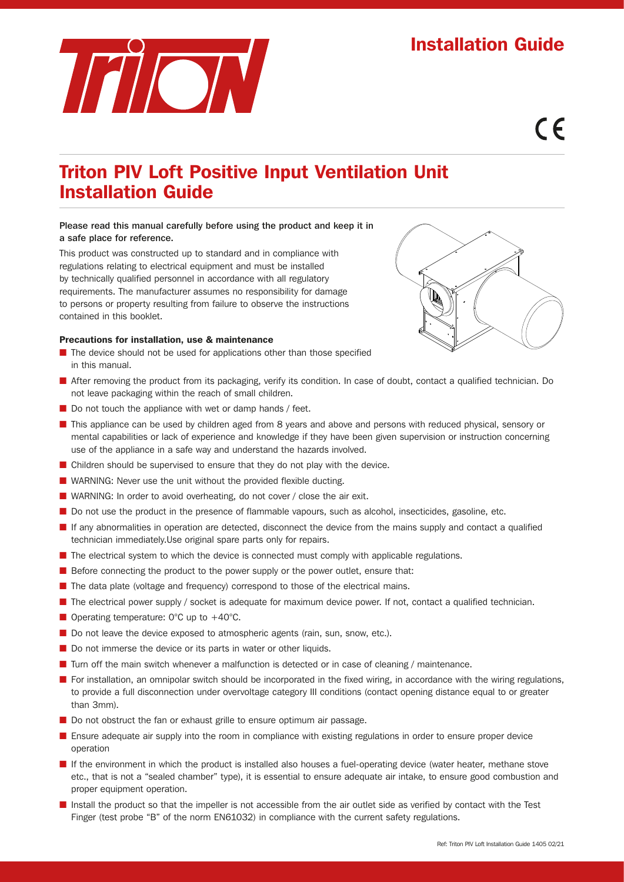# Installation Guide



# $\epsilon$

## Triton PIV Loft Positive Input Ventilation Unit Installation Guide

### Please read this manual carefully before using the product and keep it in a safe place for reference.

This product was constructed up to standard and in compliance with regulations relating to electrical equipment and must be installed by technically qualified personnel in accordance with all regulatory requirements. The manufacturer assumes no responsibility for damage to persons or property resulting from failure to observe the instructions contained in this booklet.

### Precautions for installation, use & maintenance

- The device should not be used for applications other than those specified in this manual.
- After removing the product from its packaging, verify its condition. In case of doubt, contact a qualified technician. Do not leave packaging within the reach of small children.
- Do not touch the appliance with wet or damp hands / feet.
- This appliance can be used by children aged from 8 years and above and persons with reduced physical, sensory or mental capabilities or lack of experience and knowledge if they have been given supervision or instruction concerning use of the appliance in a safe way and understand the hazards involved.
- Children should be supervised to ensure that they do not play with the device.
- WARNING: Never use the unit without the provided flexible ducting.
- WARNING: In order to avoid overheating, do not cover / close the air exit.
- Do not use the product in the presence of flammable vapours, such as alcohol, insecticides, gasoline, etc.
- If any abnormalities in operation are detected, disconnect the device from the mains supply and contact a qualified technician immediately.Use original spare parts only for repairs.
- The electrical system to which the device is connected must comply with applicable regulations.
- Before connecting the product to the power supply or the power outlet, ensure that:
- The data plate (voltage and frequency) correspond to those of the electrical mains.
- The electrical power supply / socket is adequate for maximum device power. If not, contact a qualified technician.
- Operating temperature: 0°C up to +40°C.
- Do not leave the device exposed to atmospheric agents (rain, sun, snow, etc.).
- Do not immerse the device or its parts in water or other liquids.
- Turn off the main switch whenever a malfunction is detected or in case of cleaning / maintenance.
- For installation, an omnipolar switch should be incorporated in the fixed wiring, in accordance with the wiring regulations, to provide a full disconnection under overvoltage category III conditions (contact opening distance equal to or greater than 3mm).
- Do not obstruct the fan or exhaust grille to ensure optimum air passage.
- Ensure adequate air supply into the room in compliance with existing regulations in order to ensure proper device operation
- If the environment in which the product is installed also houses a fuel-operating device (water heater, methane stove etc., that is not a "sealed chamber" type), it is essential to ensure adequate air intake, to ensure good combustion and proper equipment operation.
- Install the product so that the impeller is not accessible from the air outlet side as verified by contact with the Test Finger (test probe "B" of the norm EN61032) in compliance with the current safety regulations.

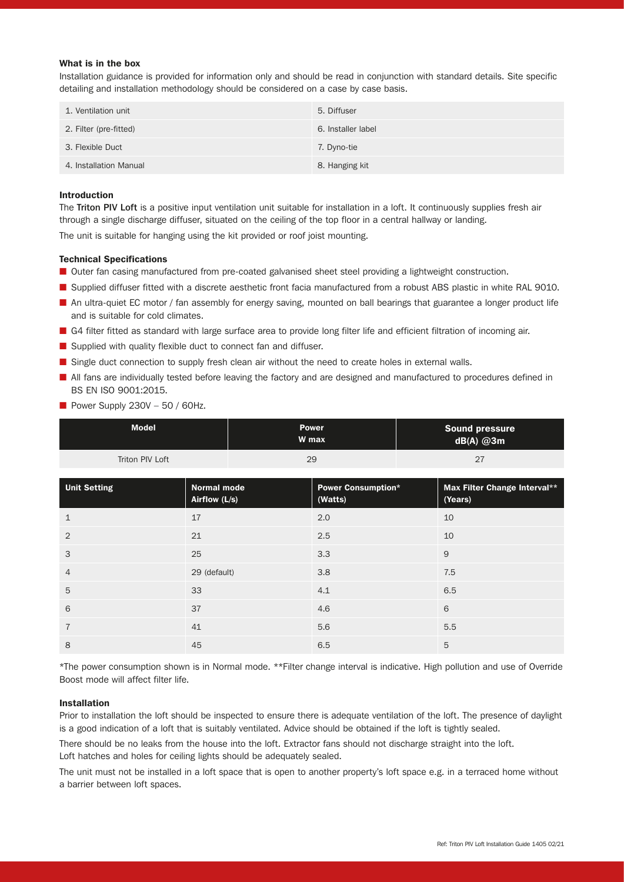### What is in the box

Installation guidance is provided for information only and should be read in conjunction with standard details. Site specific detailing and installation methodology should be considered on a case by case basis.

| 1. Ventilation unit    | 5. Diffuser        |
|------------------------|--------------------|
| 2. Filter (pre-fitted) | 6. Installer label |
| 3. Flexible Duct       | 7. Dyno-tie        |
| 4. Installation Manual | 8. Hanging kit     |

### Introduction

The Triton PIV Loft is a positive input ventilation unit suitable for installation in a loft. It continuously supplies fresh air through a single discharge diffuser, situated on the ceiling of the top floor in a central hallway or landing.

The unit is suitable for hanging using the kit provided or roof joist mounting.

### Technical Specifications

- Outer fan casing manufactured from pre-coated galvanised sheet steel providing a lightweight construction.
- Supplied diffuser fitted with a discrete aesthetic front facia manufactured from a robust ABS plastic in white RAL 9010.
- An ultra-quiet EC motor / fan assembly for energy saving, mounted on ball bearings that guarantee a longer product life and is suitable for cold climates.
- G4 filter fitted as standard with large surface area to provide long filter life and efficient filtration of incoming air.
- Supplied with quality flexible duct to connect fan and diffuser.
- Single duct connection to supply fresh clean air without the need to create holes in external walls.
- All fans are individually tested before leaving the factory and are designed and manufactured to procedures defined in BS EN ISO 9001:2015.

|  |  |  | Power Supply 230V - 50 / 60Hz. |  |  |
|--|--|--|--------------------------------|--|--|
|--|--|--|--------------------------------|--|--|

| <b>Model</b>        |                              | <b>Power</b><br>W max                | <b>Sound pressure</b><br>$dB(A)$ @3m |                                         |
|---------------------|------------------------------|--------------------------------------|--------------------------------------|-----------------------------------------|
| Triton PIV Loft     |                              | 29                                   |                                      | 27                                      |
| <b>Unit Setting</b> | Normal mode<br>Airflow (L/s) | <b>Power Consumption*</b><br>(Watts) |                                      | Max Filter Change Interval**<br>(Years) |
| $\mathbf 1$         | 17                           | 2.0                                  |                                      | 10                                      |
| 2                   | 21                           | 2.5                                  |                                      | 10                                      |
| 3                   | 25                           | 3.3                                  |                                      | 9                                       |
| $\overline{4}$      | 29 (default)                 | 3.8                                  |                                      | 7.5                                     |
| 5                   | 33                           | 4.1                                  |                                      | 6.5                                     |
| 6                   | 37                           | 4.6                                  |                                      | 6                                       |
| $\overline{7}$      | 41                           | 5.6                                  |                                      | 5.5                                     |
| 8                   | 45                           | 6.5                                  |                                      | 5                                       |

\*The power consumption shown is in Normal mode. \*\*Filter change interval is indicative. High pollution and use of Override Boost mode will affect filter life.

### Installation

Prior to installation the loft should be inspected to ensure there is adequate ventilation of the loft. The presence of daylight is a good indication of a loft that is suitably ventilated. Advice should be obtained if the loft is tightly sealed.

There should be no leaks from the house into the loft. Extractor fans should not discharge straight into the loft. Loft hatches and holes for ceiling lights should be adequately sealed.

The unit must not be installed in a loft space that is open to another property's loft space e.g. in a terraced home without a barrier between loft spaces.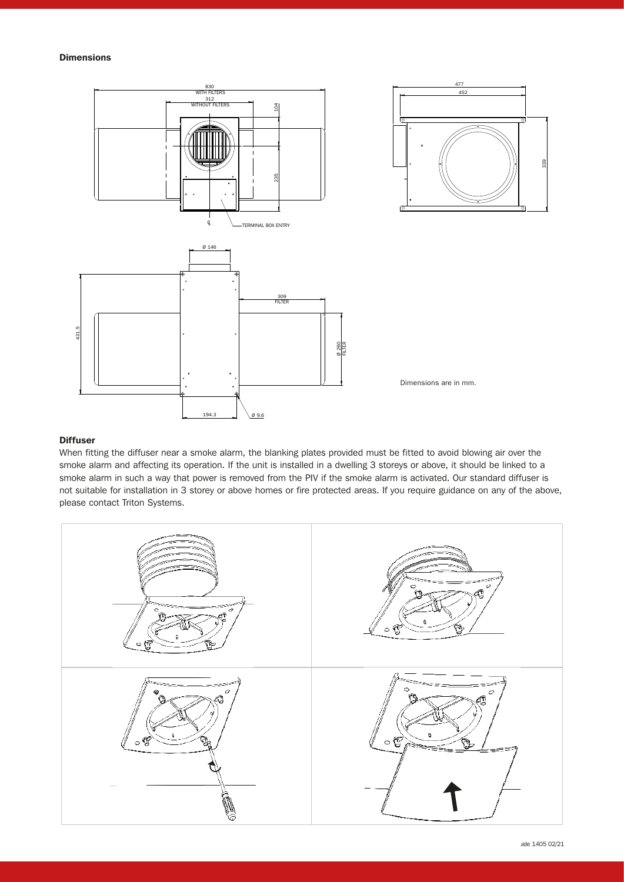### Dimensions



### **Diffuser**

When fitting the diffuser near a smoke alarm, the blanking plates provided must be fitted to avoid blowing air over the smoke alarm and affecting its operation. If the unit is installed in a dwelling 3 storeys or above, it should be linked to a smoke alarm in such a way that power is removed from the PIV if the smoke alarm is activated. Our standard diffuser is not suitable for installation in 3 storey or above homes or fire protected areas. If you require guidance on any of the above, please contact Triton Systems.



339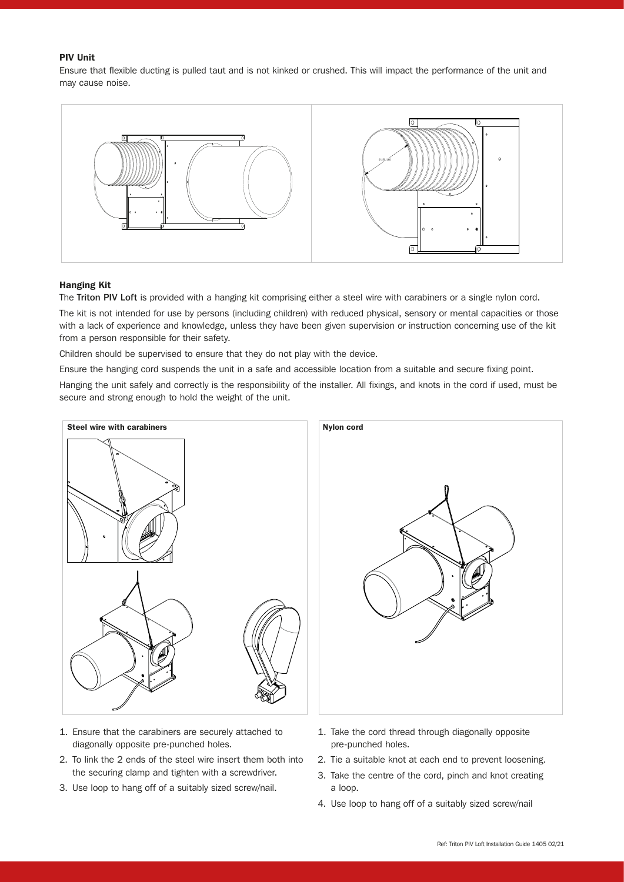### PIV Unit

Ensure that flexible ducting is pulled taut and is not kinked or crushed. This will impact the performance of the unit and may cause noise.



#### Hanging Kit

The Triton PIV Loft is provided with a hanging kit comprising either a steel wire with carabiners or a single nylon cord.

The kit is not intended for use by persons (including children) with reduced physical, sensory or mental capacities or those with a lack of experience and knowledge, unless they have been given supervision or instruction concerning use of the kit from a person responsible for their safety.

Children should be supervised to ensure that they do not play with the device.

Ensure the hanging cord suspends the unit in a safe and accessible location from a suitable and secure fixing point.

Hanging the unit safely and correctly is the responsibility of the installer. All fixings, and knots in the cord if used, must be secure and strong enough to hold the weight of the unit.



- 1. Ensure that the carabiners are securely attached to diagonally opposite pre-punched holes.
- 2. To link the 2 ends of the steel wire insert them both into the securing clamp and tighten with a screwdriver.
- 3. Use loop to hang off of a suitably sized screw/nail.



- 1. Take the cord thread through diagonally opposite pre-punched holes.
- 2. Tie a suitable knot at each end to prevent loosening.
- 3. Take the centre of the cord, pinch and knot creating a loop.
- 4. Use loop to hang off of a suitably sized screw/nail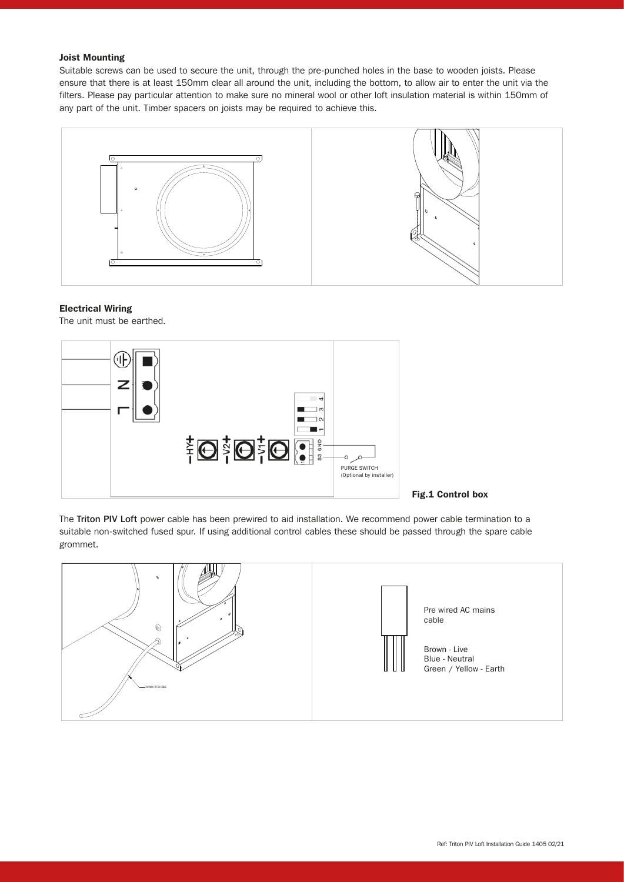### Joist Mounting

Suitable screws can be used to secure the unit, through the pre-punched holes in the base to wooden joists. Please ensure that there is at least 150mm clear all around the unit, including the bottom, to allow air to enter the unit via the filters. Please pay particular attention to make sure no mineral wool or other loft insulation material is within 150mm of any part of the unit. Timber spacers on joists may be required to achieve this.



#### Electrical Wiring

The unit must be earthed.



The Triton PIV Loft power cable has been prewired to aid installation. We recommend power cable termination to a suitable non-switched fused spur. If using additional control cables these should be passed through the spare cable grommet.

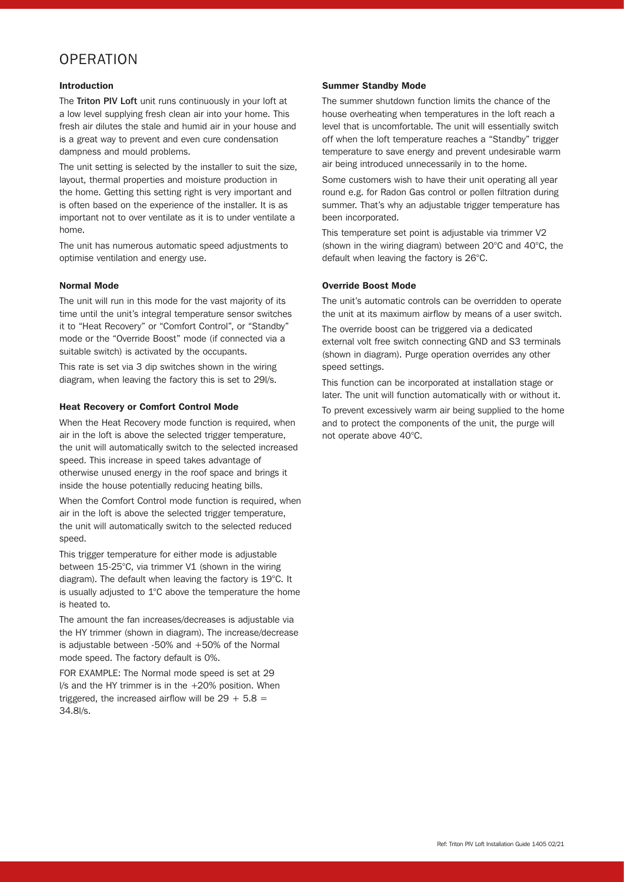### **OPERATION**

### Introduction

The Triton PIV Loft unit runs continuously in your loft at a low level supplying fresh clean air into your home. This fresh air dilutes the stale and humid air in your house and is a great way to prevent and even cure condensation dampness and mould problems.

The unit setting is selected by the installer to suit the size, layout, thermal properties and moisture production in the home. Getting this setting right is very important and is often based on the experience of the installer. It is as important not to over ventilate as it is to under ventilate a home.

The unit has numerous automatic speed adjustments to optimise ventilation and energy use.

### Normal Mode

The unit will run in this mode for the vast majority of its time until the unit's integral temperature sensor switches it to "Heat Recovery" or "Comfort Control", or "Standby" mode or the "Override Boost" mode (if connected via a suitable switch) is activated by the occupants.

This rate is set via 3 dip switches shown in the wiring diagram, when leaving the factory this is set to 29l/s.

### Heat Recovery or Comfort Control Mode

When the Heat Recovery mode function is required, when air in the loft is above the selected trigger temperature, the unit will automatically switch to the selected increased speed. This increase in speed takes advantage of otherwise unused energy in the roof space and brings it inside the house potentially reducing heating bills.

When the Comfort Control mode function is required, when air in the loft is above the selected trigger temperature, the unit will automatically switch to the selected reduced speed.

This trigger temperature for either mode is adjustable between 15-25°C, via trimmer V1 (shown in the wiring diagram). The default when leaving the factory is 19°C. It is usually adjusted to 1°C above the temperature the home is heated to.

The amount the fan increases/decreases is adjustable via the HY trimmer (shown in diagram). The increase/decrease is adjustable between -50% and +50% of the Normal mode speed. The factory default is 0%.

FOR EXAMPLE: The Normal mode speed is set at 29 l/s and the HY trimmer is in the +20% position. When triggered, the increased airflow will be  $29 + 5.8 =$ 34.8l/s.

### Summer Standby Mode

The summer shutdown function limits the chance of the house overheating when temperatures in the loft reach a level that is uncomfortable. The unit will essentially switch off when the loft temperature reaches a "Standby" trigger temperature to save energy and prevent undesirable warm air being introduced unnecessarily in to the home.

Some customers wish to have their unit operating all year round e.g. for Radon Gas control or pollen filtration during summer. That's why an adjustable trigger temperature has been incorporated.

This temperature set point is adjustable via trimmer V2 (shown in the wiring diagram) between 20°C and 40°C, the default when leaving the factory is 26°C.

### Override Boost Mode

The unit's automatic controls can be overridden to operate the unit at its maximum airflow by means of a user switch. The override boost can be triggered via a dedicated external volt free switch connecting GND and S3 terminals (shown in diagram). Purge operation overrides any other speed settings.

This function can be incorporated at installation stage or later. The unit will function automatically with or without it.

To prevent excessively warm air being supplied to the home and to protect the components of the unit, the purge will not operate above 40°C.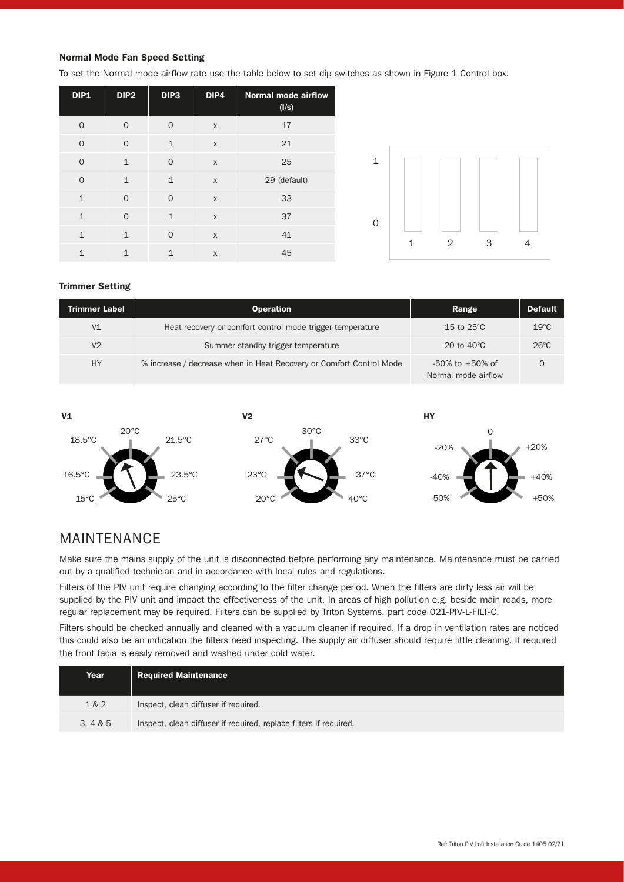### Normal Mode Fan Speed Setting

To set the Normal mode airflow rate use the table below to set dip switches as shown in Figure 1 Control box.

| <b>DIP1</b>  | DIP <sub>2</sub> | DIP3         | DIP4         | <b>Normal mode airflow</b><br>(I/s) |
|--------------|------------------|--------------|--------------|-------------------------------------|
| $\Omega$     | $\Omega$         | $\Omega$     | X            | 17                                  |
| $\Omega$     | $\Omega$         | $\mathbf{1}$ | $\mathsf{x}$ | 21                                  |
| $\Omega$     | $\mathbf{1}$     | $\Omega$     | $\mathsf{x}$ | 25                                  |
| $\Omega$     | $\mathbf{1}$     | $\mathbf{1}$ | X            | 29 (default)                        |
| $\mathbf{1}$ | $\Omega$         | $\Omega$     | $\mathsf{X}$ | 33                                  |
| $\mathbf{1}$ | $\Omega$         | $\mathbf{1}$ | $\mathsf{x}$ | 37                                  |
| $\mathbf{1}$ | $\mathbf{1}$     | $\Omega$     | $\mathsf{x}$ | 41                                  |
| $\mathbf{1}$ | 1                | $\mathbf{1}$ | $\mathsf{x}$ | 45                                  |



### Trimmer Setting

| <b>Trimmer Label</b> | <b>Operation</b>                                                    | Range                                        | <b>Default</b> |
|----------------------|---------------------------------------------------------------------|----------------------------------------------|----------------|
| V <sub>1</sub>       | Heat recovery or comfort control mode trigger temperature           | 15 to $25^{\circ}$ C                         | $19^{\circ}$ C |
| V <sub>2</sub>       | Summer standby trigger temperature                                  | 20 to $40^{\circ}$ C                         | $26^{\circ}$ C |
| <b>HY</b>            | % increase / decrease when in Heat Recovery or Comfort Control Mode | $-50\%$ to $+50\%$ of<br>Normal mode airflow | 0              |



### MAINTENANCE

Make sure the mains supply of the unit is disconnected before performing any maintenance. Maintenance must be carried out by a qualified technician and in accordance with local rules and regulations.

Filters of the PIV unit require changing according to the filter change period. When the filters are dirty less air will be supplied by the PIV unit and impact the effectiveness of the unit. In areas of high pollution e.g. beside main roads, more regular replacement may be required. Filters can be supplied by Triton Systems, part code 021-PIV-L-FILT-C.

Filters should be checked annually and cleaned with a vacuum cleaner if required. If a drop in ventilation rates are noticed this could also be an indication the filters need inspecting. The supply air diffuser should require little cleaning. If required the front facia is easily removed and washed under cold water.

| Year  | <b>Required Maintenance</b>                                       |
|-------|-------------------------------------------------------------------|
| 1 & 2 | Inspect, clean diffuser if required.                              |
| 3.4&5 | Inspect, clean diffuser if required, replace filters if required. |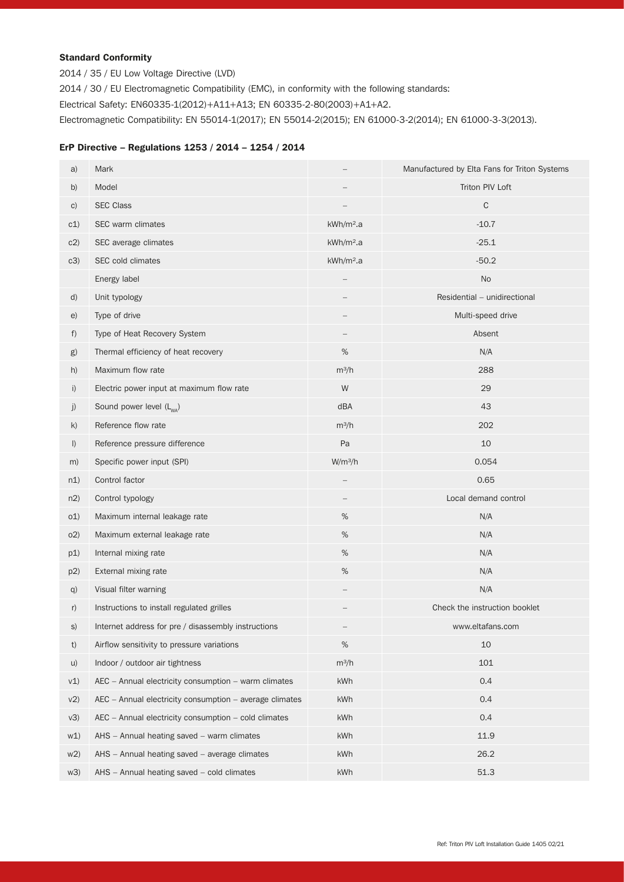### Standard Conformity

2014 / 35 / EU Low Voltage Directive (LVD)

2014 / 30 / EU Electromagnetic Compatibility (EMC), in conformity with the following standards:

Electrical Safety: EN60335-1(2012)+A11+A13; EN 60335-2-80(2003)+A1+A2.

Electromagnetic Compatibility: EN 55014-1(2017); EN 55014-2(2015); EN 61000-3-2(2014); EN 61000-3-3(2013).

### ErP Directive – Regulations 1253 / 2014 – 1254 / 2014

| a)      | Mark                                                    |                          | Manufactured by Elta Fans for Triton Systems |
|---------|---------------------------------------------------------|--------------------------|----------------------------------------------|
| b)      | Model                                                   |                          | Triton PIV Loft                              |
| C)      | <b>SEC Class</b>                                        |                          | C                                            |
| c1)     | SEC warm climates                                       | kWh/m <sup>2</sup> .a    | $-10.7$                                      |
| c2)     | SEC average climates                                    | kWh/m <sup>2</sup> a     | $-25.1$                                      |
| c3)     | SEC cold climates                                       | kWh/m <sup>2</sup> .a    | $-50.2$                                      |
|         | Energy label                                            |                          | <b>No</b>                                    |
| d)      | Unit typology                                           |                          | Residential - unidirectional                 |
| e)      | Type of drive                                           |                          | Multi-speed drive                            |
| f)      | Type of Heat Recovery System                            |                          | Absent                                       |
| g)      | Thermal efficiency of heat recovery                     | $\%$                     | N/A                                          |
| h)      | Maximum flow rate                                       | $m^3/h$                  | 288                                          |
| i)      | Electric power input at maximum flow rate               | W                        | 29                                           |
| j)      | Sound power level (L <sub>wa</sub> )                    | dBA                      | 43                                           |
| k)      | Reference flow rate                                     | $m^3/h$                  | 202                                          |
| $\vert$ | Reference pressure difference                           | Pa                       | 10                                           |
| m)      | Specific power input (SPI)                              | W/m <sup>3</sup> /h      | 0.054                                        |
| n1)     | Control factor                                          |                          | 0.65                                         |
| n2)     | Control typology                                        |                          | Local demand control                         |
| o(1)    | Maximum internal leakage rate                           | %                        | N/A                                          |
| O(2)    | Maximum external leakage rate                           | $\%$                     | N/A                                          |
| p1)     | Internal mixing rate                                    | $\%$                     | N/A                                          |
| p2)     | External mixing rate                                    | $\%$                     | N/A                                          |
| q)      | Visual filter warning                                   | $\overline{\phantom{0}}$ | N/A                                          |
| r)      | Instructions to install regulated grilles               |                          | Check the instruction booklet                |
| S)      | Internet address for pre / disassembly instructions     |                          | www.eltafans.com                             |
| t)      | Airflow sensitivity to pressure variations              | %                        | 10                                           |
| u)      | Indoor / outdoor air tightness                          | $m^3/h$                  | 101                                          |
| v1)     | AEC - Annual electricity consumption - warm climates    | kWh                      | 0.4                                          |
| v2)     | AEC - Annual electricity consumption - average climates | kWh                      | 0.4                                          |
| V3)     | AEC - Annual electricity consumption - cold climates    | kWh                      | 0.4                                          |
| w1)     | AHS - Annual heating saved - warm climates              | kWh                      | 11.9                                         |
| w2)     | AHS - Annual heating saved - average climates           | kWh                      | 26.2                                         |
| w3)     | AHS - Annual heating saved - cold climates              | kWh                      | 51.3                                         |